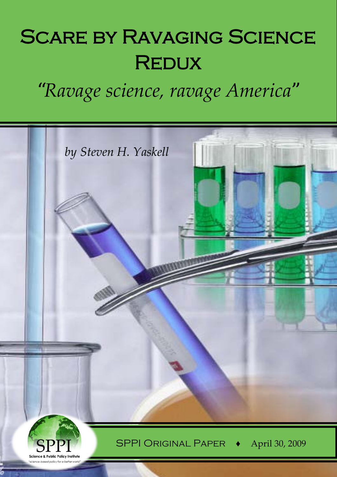# SCARE BY RAVAGING SCIENCE **REDUX**

*"Ravage science, ravage America"*

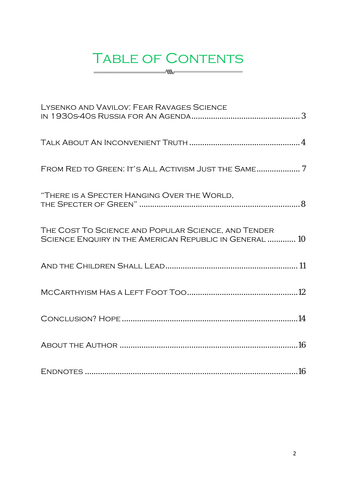# TABLE OF CONTENTS  $\sim$   $\sim$   $\sim$   $\sim$

| LYSENKO AND VAVILOV: FEAR RAVAGES SCIENCE                                                                      |
|----------------------------------------------------------------------------------------------------------------|
|                                                                                                                |
|                                                                                                                |
| "THERE IS A SPECTER HANGING OVER THE WORLD,                                                                    |
| THE COST TO SCIENCE AND POPULAR SCIENCE, AND TENDER<br>SCIENCE ENQUIRY IN THE AMERICAN REPUBLIC IN GENERAL  10 |
|                                                                                                                |
|                                                                                                                |
|                                                                                                                |
|                                                                                                                |
|                                                                                                                |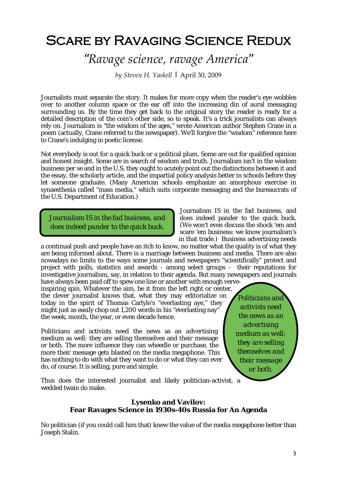# Scare by Ravaging Science Redux

# *"Ravage science, ravage America"*

*by Steven H. Yaskell |* April 30, 2009

Journalists must separate the story. It makes for more copy when the reader's eye wobbles over to another column space or the ear off into the increasing din of aural messaging surrounding us. By the time they get back to the original story the reader is ready for a detailed description of the coin's other side, so to speak. It's a trick journalists can always rely on. Journalism is "the wisdom of the ages," wrote American author Stephen Crane in a poem (actually, Crane referred to the newspaper). We'll forgive the "wisdom" reference here to Crane's indulging in poetic license.

Not everybody is out for a quick buck or a political plum. Some are out for qualified opinion and honest insight. Some are in search of wisdom and truth. Journalism isn't in the wisdom business *per se* and in the U.S. they ought to acutely point out the distinctions between it and the essay, the scholarly article, and the impartial policy analysis better in schools before they let someone graduate. (Many American schools emphasize an amorphous exercise in synaesthesia called "mass media," which suits corporate messaging and the bureaucrats of the U.S. Department of Education.)

*Journalism IS in the fad business, and does indeed pander to the quick buck.*

in that trade.) Business advertising needs a continual push and people have an itch to know, no matter what the quality is of what they are being informed about. There is a marriage between business and media. There are also nowadays no limits to the ways some journals and newspapers "scientifically" protect and project with polls, statistics and awards - among select groups - their reputations for investigative journalism, say, in relation to their agenda. But many newspapers and journals have always been paid off to spew one line or another with enough verve-

inspiring spin. Whatever the aim, be it from the left right or center, the clever journalist knows that, what they may editorialize on today in the spirit of Thomas Carlyle's "everlasting aye," they might just as easily chop out 1,200 words in his "everlasting nay" the week, month, the year, or even decade hence.

Politicians and activists need the news as an *advertising* medium as well: they are selling themselves and their message or both. The more influence they can wheedle or purchase, the more their message gets blasted on the media megaphone. This has nothing to do with what they want to do or what they can ever do, of course. It is selling, pure and simple.

*Politicians and activists need the news as an advertising medium as well: they are selling themselves and their message or both.*

Journalism IS in the fad business, and does indeed pander to the quick buck. (We won't even discuss the shock 'em and scare 'em business: we know journalism's

Thus does the interested journalist and likely politician-activist, a wedded twain do make.

#### **Lysenko and Vavilov: Fear Ravages Science in 1930s-40s Russia for An Agenda**

No politician (if you could call him that) knew the value of the media megaphone better than Joseph Stalin.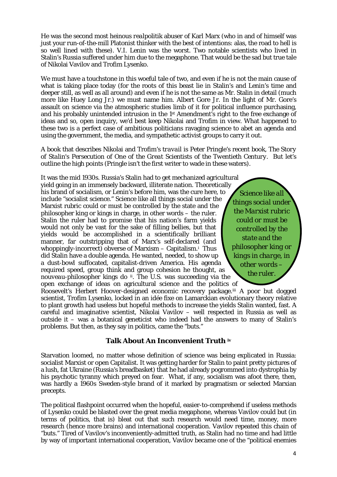He was the second most heinous *realpolitik* abuser of Karl Marx (who in and of himself was just your run-of-the-mill Platonist thinker with the best of intentions: alas, the road to hell is so well lined with these). V.I. Lenin was the worst. Two notable scientists who lived in Stalin's Russia suffered under him due to the megaphone. That would be the sad but true tale of Nikolai Vavilov and Trofim Lysenko.

We must have a touchstone in this woeful tale of two, and even if he is not the main cause of what is taking place today (for the roots of this beast lie in Stalin's and Lenin's time and deeper still, as well as all around) and even if he is not the same as Mr. Stalin in detail (much more like Huey Long Jr.) we must name him. Albert Gore Jr. In the light of Mr. Gore's assault on science via the atmospheric studies limb of it for political influence purchasing, and his probably unintended intrusion in the 1st Amendment's right to the free exchange of ideas and so, open inquiry, we'd best keep Nikolai and Trofim in view. What happened to these two is a perfect case of ambitious politicians ravaging science to abet an agenda and using the government, the media, and sympathetic activist groups to carry it out.

A book that describes Nikolai and Trofim's *travail* is Peter Pringle's recent book, *The Story of Stalin's Persecution of One of the Great Scientists of the Twentieth Century.* But let's outline the high points (Pringle isn't the first writer to wade in these waters).

It was the mid 1930s. Russia's Stalin had to get mechanized agricultural yield going in an immensely backward, illiterate nation. Theoretically his brand of socialism, or Lenin's before him, was the cure here, to include "socialist science." Science like all things social under the Marxist rubric could or must be controlled by the state and the philosopher king or kings in charge, in other words – the ruler. Stalin the ruler had to promise that his nation's farm yields would not only be vast for the sake of filling bellies, but that yields would be accomplished in a scientifically brilliant manner, far outstripping that of Marx's self-declared (and whoppingly-incorrect) obverse of Marxism – Capitalism.[i](#page-15-0) Thus did Stalin have a double agenda. He wanted, needed, to show up a dust-bowl suffocated, capitalist-driven America. His agenda required speed, group think and group cohesion he thought, as *nouveau-philosopher kings do* [ii](#page-15-1). The U.S. was succeeding via the open exchange of ideas on agricultural science and the politics of

*Science like all things social under the Marxist rubric could or must be controlled by the state and the philosopher king or kings in charge, in other words – the ruler.*

Roosevelt's Herbert Hoover-designed economic recovery package.[iii](#page-15-2) A poor but dogged scientist, Trofim Lysenko, locked in an *idée fixe* on Lamarckian evolutionary theory relative to plant growth had useless but hopeful methods to increase the yields Stalin wanted, fast. A careful and imaginative scientist, Nikolai Vavilov – well respected in Russia as well as outside it – was a botanical geneticist who indeed had the answers to many of Stalin's problems. But then, as they say in politics, came the "buts."

## **Talk About An Inconvenient Truth [iv](#page-15-3)**

Starvation loomed, no matter whose definition of science was being explicated in Russia: socialist Marxist or open Capitalist. It was getting harder for Stalin to paint pretty pictures of a lush, fat Ukraine (Russia's breadbasket) that he had already pogrommed into dystrophia by his psychotic tyranny which preyed on fear. What, if any, socialism was afoot there, then, was hardly a 1960s Sweden-style brand of it marked by pragmatism or selected Marxian precepts.

The political flashpoint occurred when the hopeful, easier-to-comprehend if useless methods of Lysenko could be blasted over the great media megaphone, whereas Vavilov could but (in terms of politics, that is) bleat out that such research would need time, money, more research (hence more brains) and international cooperation. Vavilov repeated this chain of "buts." Tired of Vavilov's inconveniently-admitted truth, as Stalin had no time and had little by way of important international cooperation, Vavilov became one of the "political enemies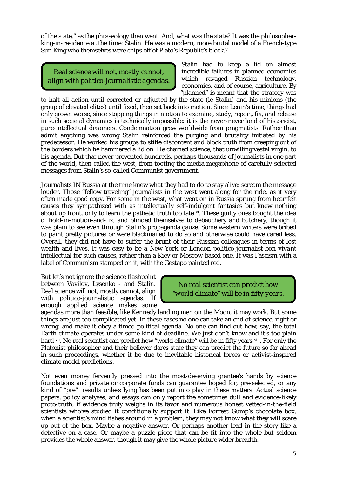of the state," as the phraseology then went. And, what was the state? It was the philosopherking-in-residence at the time: Stalin. He was a modern, more brutal model of a French-type Sun King who themselves were chips off of Plato's *Republic's* block.[v](#page-15-4)

*Real science will not, mostly cannot, align with politico-journalistic agendas.* Stalin had to keep a lid on almost incredible failures in planned economies which ravaged Russian technology, economics, and of course, agriculture. By "planned" is meant that the strategy was

to halt all action until corrected or adjusted by the state (ie Stalin) and his minions (the group of elevated elites) until fixed, then set back into motion. Since Lenin's time, things had only grown worse, since stopping things in motion to examine, study, report, fix, and release in such societal dynamics is technically impossible: it is the never-never land of historicist, pure-intellectual dreamers. Condemnation grew worldwide from pragmatists. Rather than admit anything was wrong Stalin reinforced the purging and brutality initiated by his predecessor. He worked his groups to stifle discontent and block truth from creeping out of the borders which he hammered a lid on. He chained science, that unwilling vestal virgin, to his agenda. But that never prevented hundreds, perhaps thousands of journalists in one part of the world, then called the west, from tooting the media megaphone of carefully-selected messages from Stalin's so-called Communist government.

Journalists IN Russia at the time knew what they had to do to stay alive: scream the message louder. Those "fellow traveling" journalists in the west went along for the ride, as it very often made good copy. For some in the west, what went on in Russia sprung from heartfelt causes they sympathized with as intellectually self-indulgent fantasies but knew nothing about up front, only to learn the pathetic truth too late  $\mathbb{v}$ . These guilty ones bought the idea of hold-in-motion-and-fix, and blinded themselves to debauchery and butchery, though it was plain to see even through Stalin's propaganda gauze. Some western writers were bribed to paint pretty pictures or were blackmailed to do so and otherwise could have cared less. Overall, they did not have to suffer the brunt of their Russian colleagues in terms of lost wealth and lives. It was easy to be a New York or London politico-journalist-*bon vivant* intellectual for such causes, rather than a Kiev or Moscow-based one. It was Fascism with a label of Communism stamped on it, with the Gestapo painted red.

But let's not ignore the science flashpoint between Vavilov, Lysenko - and Stalin. Real science will not, mostly cannot, align with politico-journalistic agendas. If enough applied science makes some

*No real scientist can predict how "world climate" will be in fifty years.*

agendas more than feasible, like Kennedy landing men on the Moon, it may work. But some things are just too complicated yet. In these cases no one can take an end of science, right or wrong, and make it obey a timed political agenda. No one can find out how, say, the total Earth climate operates under some kind of deadline. We just don't know and it's too plain hard <sup>vii</sup>. No real scientist can predict how "world climate" will be in fifty years <sup>viii</sup>. For only the Platonist philosopher and their believer dares state they can predict the future so far ahead in such proceedings, whether it be due to inevitable historical forces or activist-inspired climate model predictions.

Not even money fervently pressed into the most-deserving grantee's hands by science foundations and private or corporate funds can guarantee hoped for, pre-selected, or any kind of "pre" results unless lying has been put into play in these matters. Actual science papers, policy analyses, and essays can only report the sometimes dull and evidence-likely proto-truth, if evidence *truly weighs* in its favor and numerous honest vetted-in-the-field scientists who've studied it conditionally support it. Like Forrest Gump's chocolate box, when a scientist's mind fishes around in a problem, they may not know what they will scare up out of the box. Maybe a negative answer. Or perhaps another lead in the story like a detective on a case. Or maybe a puzzle piece that can be fit into the whole but seldom provides the whole answer, though it may give the whole picture wider breadth.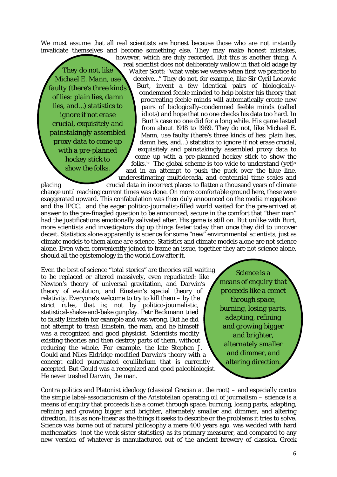We must assume that all real scientists are honest because those who are not instantly invalidate themselves and become something else. They may make honest mistakes,

*They do not, like Michael E. Mann, use faulty (there's three kinds of lies: plain lies, damn lies, and…) statistics to ignore if not erase crucial, exquisitely and painstakingly assembled proxy data to come up with a pre-planned hockey stick to show the folks.* real scientist does not deliberately wallow in that old adage by Walter Scott: "what webs we weave when first we practice to

deceive…" They do not, for example, like Sir Cyril Lodowic Burt, invent a few identical pairs of biologicallycondemned feeble minded to help bolster his theory that procreating feeble minds will automatically create new pairs of biologically-condemned feeble minds (called idiots) and hope that no one checks his data too hard. In Burt's case no one did for a long while. His game lasted from about 1918 to 1969. They do not, like Michael E. Mann, use faulty (there's three kinds of lies: plain lies, damn lies, and…) statistics to ignore if not erase crucial, exquisitely and painstakingly assembled proxy data to come up with a pre-planned hockey stick to show the folks.<sup>i[x](#page-16-2)</sup> The global scheme is too wide to understand (yet)<sup>x</sup> and in an attempt to push the puck over the blue line, underestimating multidecadal and centennial time scales and

however, which are duly recorded. But this is another thing. A

placing crucial data in incorrect places to flatten a thousand years of climate change until reaching current times was done. On more comfortable ground here, these were exaggerated upward. This confabulation was then duly announced on the media megaphone and the IPCC, and the eager politico-journalist-filled world waited for the pre-arrived at answer to the pre-finagled question to be announced, secure in the comfort that "their man" had the justifications emotionally salivated after. His game is still on. But unlike with Burt, more scientists and investigators dig up things faster today than once they did to uncover deceit. Statistics alone apparently *is* science for some "new" environmental scientists, just as climate models to them alone *are* science. Statistics and climate models alone are *not* science alone. Even when conveniently joined to frame an issue, together they are *not* science alone, should all the epistemology in the world flow after it.

Even the best of science "total stories" are theories still waiting to be replaced or altered massively, even repudiated: like Newton's *theory* of universal gravitation, and Darwin's *theory* of evolution, and Einstein's special *theory* of relativity. Everyone's welcome to try to kill them – by the strict rules, that is; not by politico-journalistic, statistical-shake-and-bake gunplay. Petr Beckmann tried to falsify Einstein for example and was wrong. But he did not attempt to trash Einstein, the man, and he himself was a recognized and good physicist. Scientists modify existing theories and then destroy parts of them, without reducing the whole. For example, the late Stephen J. Gould and Niles Eldridge modified Darwin's theory with a concept called punctuated equilibrium that is currently accepted. But Gould was a recognized and good paleobiologist. He never trashed Darwin, the man.

*Science is a means of enquiry that proceeds like a comet through space, burning, losing parts, adapting, refining and growing bigger and brighter, alternately smaller and dimmer, and altering direction.*

Contra politics and Platonist ideology (classical Grecian at the root) – and especially contra the simple label-associationism of the Aristotelian operating oil of journalism – science is a means of enquiry that proceeds like a comet through space, burning, losing parts, adapting, refining and growing bigger and brighter, alternately smaller and dimmer, and altering direction. It is as non-linear as the things it seeks to describe or the problems it tries to solve. Science was borne out of natural philosophy a mere 400 years ago, was wedded with hard mathematics (not the weak sister statistics) as its primary measurer, and compared to any *new* version of whatever is manufactured out of the *ancient* brewery of classical Greek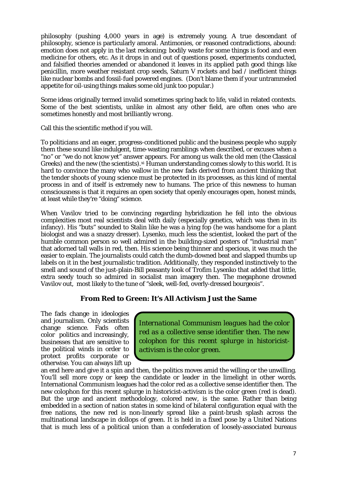philosophy (pushing 4,000 years in age) is extremely young. A true descendant of philosophy, science is particularly amoral. Antimonies, or reasoned contradictions, abound: emotion does not apply in the last reckoning; bodily waste for some things is food and even medicine for others, etc. As it drops in and out of questions posed, experiments conducted, and falsified theories amended or abandoned it leaves in its applied path good things like penicillin, more weather resistant crop seeds, Saturn V rockets and bad / inefficient things like nuclear bombs and fossil-fuel powered engines. (Don't blame them if your untrammeled appetite for oil-using things makes some old junk too popular.)

Some ideas originally termed invalid sometimes spring back to life, valid in related contexts. Some of the best scientists, unlike in almost any other field, are often ones who are sometimes honestly and most brilliantly *wrong.*

Call this the scientific method if you will.

To politicians and an eager, progress-conditioned public and the business people who supply them these sound like indulgent, time-wasting ramblings when described, or excuses when a "no" or "we do not know yet" answer appears. For among us walk the old men (the Classical Greeks) and the new (the scientists).<sup>[xi](#page-16-3)</sup> Human understanding comes slowly to this world. It is hard to convince the many who wallow in the *new* fads derived from *ancient* thinking that the tender shoots of *young* science must be protected in its processes, as this kind of mental process in and of itself is extremely *new* to humans. The price of this newness to human consciousness is that it requires an open society that openly encourages open, honest minds, at least while they're "doing" science.

When Vavilov tried to be convincing regarding hybridization he fell into the obvious complexities most real scientists deal with daily (especially genetics, which was then in its infancy). His "buts" sounded to Stalin like he was a lying fop (he was handsome for a plant biologist and was a snazzy dresser). Lysenko, much less the scientist, looked the part of the humble common person so well admired in the building-sized posters of "industrial man" that adorned tall walls in red, then. His science being thinner and specious, it was much the easier to explain. The journalists could catch the dumb-downed beat and slapped thumbs up labels on it in the best journalistic tradition. Additionally, they responded instinctively to the smell and sound of the just-plain-Bill peasanty look of Trofim Lysenko that added that little, extra seedy touch so admired in socialist man imagery then. The megaphone drowned Vavilov out, most likely to the tune of "sleek, well-fed, overly-dressed bourgeois".

#### **From Red to Green: It's All Activism Just the Same**

The fads change in ideologies and journalism. Only scientists change science. Fads often color politics and increasingly, businesses that are sensitive to the political winds in order to protect profits corporate or otherwise. You can always lift up

*International Communism leagues had the color red as a collective sense identifier then. The new colophon for this recent splurge in historicistactivism is the color green.*

an end here and give it a spin and then, the politics moves amid the willing or the unwilling. You'll sell more copy or keep the candidate or leader in the limelight in other words. International Communism leagues had the color red as a collective sense identifier then. The new colophon for this recent splurge in historicist-activism is the color green (red is dead). But the urge and ancient methodology, colored *new,* is the same. Rather than being embedded in a section of nation states in some kind of bilateral configuration equal with the free nations, the new red is non-linearly spread like a paint-brush splash across the multinational landscape in dollops of green. It is held in a fixed pose by a United Nations that is much less of a political union than a confederation of loosely-associated bureaus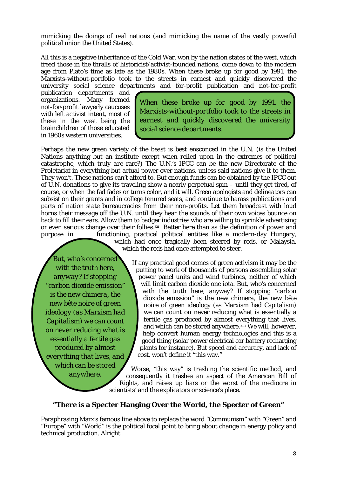mimicking the doings of real nations (and mimicking the name of the vastly powerful political union the United States).

All this is a negative inheritance of the Cold War, won by the nation states of the west, which freed those in the thralls of historicist/activist-founded nations, come down to the modern age from Plato's time as late as the 1980s. When these broke up for good by 1991, the Marxists-without-portfolio took to the streets in earnest and quickly discovered the university social science departments and for-profit publication and not-for-profit

publication departments and organizations. Many formed not-for-profit lawyerly caucuses with left activist intent, most of these in the west being the brainchildren of those educated in 1960s western universities.

*When these broke up for good by 1991, the Marxists-without-portfolio took to the streets in earnest and quickly discovered the university social science departments.*

Perhaps the new green variety of the beast is best ensconced in the U.N. (is the United Nations anything but an institute except when relied upon in the extremes of political catastrophe, which truly *are* rare?) The U.N.'s IPCC can be the new Directorate of the Proletariat in everything but actual power over nations, unless said nations give it to them. They won't. These nations can't afford to. But enough funds can be obtained by the IPCC out of U.N. donations to give its traveling show a nearly perpetual spin – until they get tired, of course, or when the fad fades or turns color, and it will. Green apologists and delineators can subsist on their grants and in college tenured seats, and continue to harass publications and parts of nation state bureaucracies from their non-profits. Let them broadcast with loud horns their message off the U.N. until they hear the sounds of their own voices bounce on back to fill their ears. Allow them to badger industries who are willing to sprinkle advertising or even serious change over their follies[.xii](#page-16-4) Better here than as the definition of power and purpose in functioning, practical political entities like a modern-day Hungary, which had once tragically been steered by reds, or Malaysia, which the reds had once attempted to steer.

*But, who's concerned with the truth here, anyway? If stopping "carbon dioxide emission" is the new chimera, the new bête noire of green ideology (as Marxism had Capitalism) we can count on never reducing what is essentially a fertile gas produced by almost everything that lives, and which can be stored anywhere.*

If any practical good comes of green activism it may be the putting to work of thousands of persons assembling solar power panel units and wind turbines, neither of which will limit carbon dioxide one iota. But, who's concerned with the truth here, anyway? If stopping "carbon dioxide emission" is the new chimera, the new *bête noire* of green ideology (as Marxism had Capitalism) we can count on never reducing what is essentially a fertile gas produced by almost everything that lives. and which can be stored anywhere.<sup>[xiii](#page-16-5)</sup> We will, however, help convert human energy technologies and this is a good thing (solar power electrical car battery recharging plants for instance). But speed and accuracy, and lack of cost, won't define it "this way."

Worse, "this way" is trashing the scientific method, and consequently it trashes an aspect of the American Bill of Rights, and raises up liars or the worst of the mediocre in scientists' and the explicators or science's place.

## **"There is a Specter Hanging Over the World, the Specter of Green"**

Paraphrasing Marx's famous line above to replace the word "Communism" with "Green" and "Europe" with "World" is the political focal point to bring about change in energy policy and technical production. Alright.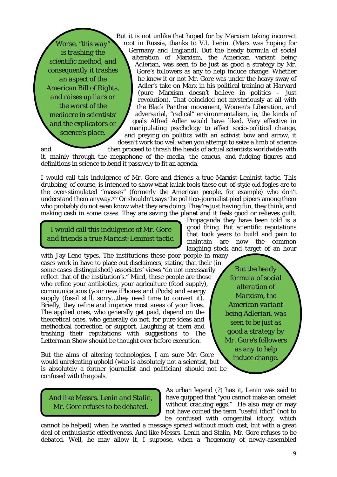*Worse, "this way is trashing the scientific method, and consequently it trashes an aspect of the American Bill of Rights, and raises up liars or the worst of the mediocre in scientists' and the explicators or science's place.*

But it is not unlike that hoped for by Marxism taking incorrect root in Russia, thanks to V.I. Lenin. (Marx was hoping for Germany and England). But the heady formula of social alteration of Marxism, the American variant being Adlerian, was seen to be just as good a strategy by Mr. Gore's followers as any to help induce change. Whether he knew it or not Mr. Gore was under the heavy sway of Adler's take on Marx in his political training at Harvard (pure Marxism doesn't believe in politics – just revolution). That coincided not mysteriously at all with the Black Panther movement, Women's Liberation, and adversarial, "radical" environmentalism, ie, the kinds of goals Alfred Adler would have liked. Very effective in manipulating psychology to affect socio-political change, and preying on politics with an activist bow and arrow, it doesn't work too well when you attempt to seize a limb of science

and then proceed to thrash the heads of actual scientists worldwide with

it, mainly through the megaphone of the media, the caucus, and fudging figures and definitions in science to bend it passively to fit an agenda.

I would call this indulgence of Mr. Gore and friends a true Marxist-Leninist tactic. This drubbing, of course, is intended to show what kulak fools these out-of-style old fogies are to the over-stimulated "masses" (formerly the American people, for example) who don't understand them anyway.[xiv](#page-16-6) Or shouldn't says the politico-journalist pied pipers among them who probably do not even know what they are doing. They're just having fun, they think, and making cash in some cases. They are saving the planet and it feels good or relieves guilt.

*I would call this indulgence of Mr. Gore and friends a true Marxist-Leninist tactic.*

with Jay-Leno types. The institutions these poor people in many cases work in have to place out disclaimers, stating that their (in some cases distinguished) associates' views "do not necessarily reflect that of the institution's." Mind, these people are those who refine your antibiotics, your agriculture (food supply), communications (your new iPhones and iPods) and energy supply (fossil still, sorry…they need time to convert it). Briefly, they refine and improve most areas of your lives. The applied ones, who generally get paid, depend on the theoretical ones, who generally do not, for pure ideas and methodical correction or support. Laughing at them and trashing their reputations with suggestions to *The Letterman Show* should be thought over before execution.

But the aims of altering technologies, I am sure Mr. Gore would unrelenting uphold (who is absolutely not a scientist, but is absolutely a former journalist and politician) should not be confused with the goals.

Propaganda they have been told is a good thing. But scientific reputations that took years to build and pain to maintain are now the common laughing stock and target of an hour

> *But the heady formula of social alteration of Marxism, the American variant being Adlerian, was seen to be just as good a strategy by Mr. Gore's followers as any to help induce change.*

*And like Messrs. Lenin and Stalin, Mr. Gore refuses to be debated.*

As urban legend (?) has it, Lenin was said to have quipped that "you cannot make an omelet without cracking eggs." He also may or may not have coined the term "useful idiot" (not to be confused with congenital idiocy, which

cannot be helped) when he wanted a message spread without much cost, but with a great deal of enthusiastic effectiveness. And like Messrs. Lenin and Stalin, Mr. Gore refuses to be debated. Well, he may allow it, I suppose, when a "hegemony of newly-assembled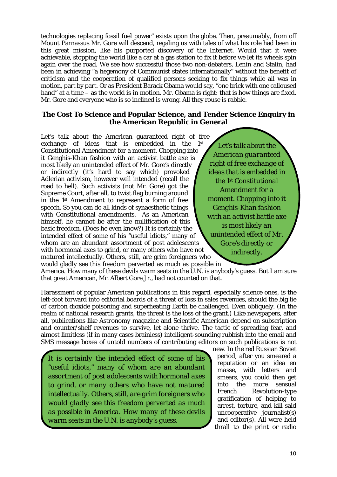technologies replacing fossil fuel power" exists upon the globe. Then, presumably, from off Mount Parnassus Mr. Gore will descend, regaling us with tales of what his role had been in this great mission, like his purported discovery of the Internet. Would that it were achievable, stopping the world like a car at a gas station to fix it before we let its wheels spin again over the road. We see how successful those two non-debaters, Lenin and Stalin, had been in achieving "a hegemony of Communist states internationally" without the benefit of criticism and the cooperation of qualified persons seeking to fix things while all was in motion, part by part. Or as President Barack Obama would say, "one brick with one calloused hand" at a time – as the world is in motion. Mr. Obama is right: that is how things are fixed. Mr. Gore and everyone who is so inclined is wrong. All they rouse is rabble.

#### **The Cost To Science and Popular Science, and Tender Science Enquiry in the American Republic in General**

Let's talk about the American guaranteed right of free exchange of ideas that is embedded in the 1st Constitutional Amendment for a moment. Chopping into it Genghis-Khan fashion with an activist battle axe is most likely an unintended effect of Mr. Gore's directly or indirectly (it's hard to say which) provoked Adlerian activism, however well intended (recall the road to hell). Such activists (not Mr. Gore) got the Supreme Court, after all, to twist flag burning around in the 1st Amendment to represent a form of free speech. So you can do all kinds of synaesthetic things with Constitutional amendments. As an American himself, he cannot be after the nullification of this basic freedom. (Does he even know?) It is certainly the intended effect of *some* of his "useful idiots," many of whom are an abundant assortment of post adolescents with hormonal axes to grind, or many others who have not matured intellectually. Others, still, are grim foreigners who would gladly see this freedom perverted as much as possible in

*Let's talk about the American guaranteed right of free exchange of ideas that is embedded in the 1st Constitutional Amendment for a moment. Chopping into it Genghis-Khan fashion with an activist battle axe is most likely an unintended effect of Mr. Gore's directly or indirectly.*

America. How many of these devils warm seats in the U.N. is anybody's guess. But I am sure that great American, Mr. Albert Gore Jr., had not counted on that.

Harassment of popular American publications in this regard, especially science ones, is the *left*-foot forward into editorial boards of a threat of loss in sales revenues, should the big lie of carbon dioxide poisoning and superheating Earth be challenged. Even obliquely. (In the realm of national research grants, the threat is the loss of the grant.) Like newspapers, after all, publications like *Astronomy* magazine and *Scientific American* depend on subscription and counter/shelf revenues to survive, let alone thrive. The tactic of spreading fear, and almost limitless (if in many cases brainless) intelligent-sounding rubbish into the email and SMS message boxes of untold numbers of contributing editors on such publications is not

*It is certainly the intended effect of some of his "useful idiots," many of whom are an abundant assortment of post adolescents with hormonal axes to grind, or many others who have not matured intellectually. Others, still, are grim foreigners who would gladly see this freedom perverted as much as possible in America. How many of these devils warm seats in the U.N. is anybody's guess.*

new. In the red Russian Soviet period, after you smeared a reputation or an idea *en masse,* with letters and smears, you could then get into the more sensual French Revolution-type gratification of helping to arrest, torture, and kill said uncooperative journalist(s) and editor(s). All were held thrall to the print or radio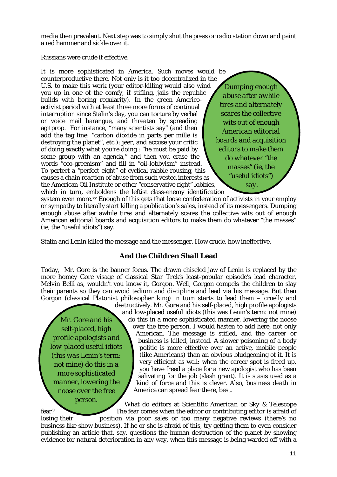media then prevalent. Next step was to simply shut the press or radio station down and paint a red hammer and sickle over it.

Russians were crude if effective.

It is more sophisticated in America. Such moves would be counterproductive there. Not only is it too decentralized in the U.S. to make this work (your editor-killing would also wind you up in one of the comfy, if stifling, jails the republic builds with boring regularity). In the green Americoactivist period with at least three more forms of continual interruption since Stalin's day, you can torture by verbal or voice mail harangue, and threaten by spreading agitprop. For instance, "many scientists say" (and then add the tag line: "carbon dioxide in parts per mille is destroying the planet", etc.); jeer, and accuse your critic of doing exactly what *you're* doing : "he must be paid by some group with an agenda," and then you erase the words "eco-greenism" and fill in "oil-lobbyism" instead. To perfect a "perfect eight" of cyclical rabble rousing, this causes a chain reaction of abuse from such vested interests as the American Oil Institute or other "conservative right" lobbies, which in turn, emboldens the leftist class-enemy identification

*Dumping enough abuse after awhile tires and alternately scares the collective wits out of enough American editorial boards and acquisition editors to make them do whatever "the masses" (ie, the "useful idiots") say.*

system even more.¤v Enough of this gets that loose confederation of activists in your employ or sympathy to literally start killing a publication's *sales*, instead of its *messengers.* Dumping enough abuse after awhile tires and alternately scares the collective wits out of enough American editorial boards and acquisition editors to make them do whatever "the masses" (ie, the "useful idiots") say.

Stalin and Lenin killed the message *and* the messenger. How crude, how ineffective.

# **And the Children Shall Lead**

Today, Mr. Gore is the banner focus. The drawn chiseled jaw of Lenin is replaced by the more homey Gore visage of classical *Star Trek's* least-popular episode's lead character, Melvin Belli as, wouldn't you know it, *Gor*gon. Well, Gorgon compels the children to slay their parents so they can avoid tedium and discipline and lead via his message. But then Gorgon (classical Platonist philosopher king) in turn starts to lead *them –* cruelly and

*Mr. Gore and his self-placed, high profile apologists and low-placed useful idiots (this was Lenin's term: not mine) do this in a more sophisticated manner, lowering the noose over the free person.*

destructively. Mr. Gore and his self-placed, high profile apologists and low-placed useful idiots (this was Lenin's term: not mine) do this in a more sophisticated manner, lowering the noose over the free person. I would hasten to add here, not only American. The message is stifled, and the *career* or *business* is killed, instead. A slower poisoning of a body politic is more effective over an active, mobile people (like Americans) than an obvious bludgeoning of it. It is very efficient as well: when the career spot is freed up, you have freed a place for a new apologist who has been salivating for the job (slash grant). It is stasis used as a kind of force and this is clever. Also, business death in America can spread fear there, best.

What do editors at *Scientific American* or *Sky & Telescope* fear? The fear comes when the editor or contributing editor is afraid of losing their position via poor sales or too many negative reviews (there's no business like show business). If he or she is afraid of this, try getting them to even consider publishing an article that, say, questions the human destruction of the planet by showing evidence for natural deterioration in any way, when this message is being warded off with a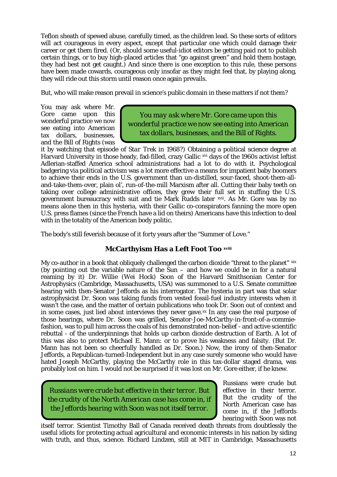Teflon sheath of spewed abuse, carefully timed, as the children lead. So these sorts of editors will act courageous in every aspect, except that particular one which could damage their career or get them fired. (Or, should some useful-idiot editors be getting paid not to publish certain things, or to buy high-placed articles that "go against green" and hold them hostage, they had best not get caught.) And since there is one exception to this rule, these persons have been made cowards, courageous only insofar as they might feel that, by playing along, they will ride out this storm until reason once again prevails.

But, who will make reason prevail in science's public domain in these matters if *not* them?

You may ask where Mr. Gore came upon this wonderful practice we now see eating into American tax dollars, businesses, and the Bill of Rights (was

*You may ask where Mr. Gore came upon this wonderful practice we now see eating into American tax dollars, businesses, and the Bill of Rights.*

it by watching that episode of *Star Trek* in 1968?) Obtaining a political science degree at Harvard University in those heady, fad-filled, crazy Gallic [xvi](#page-16-8) days of the 1960s activist leftist Adlerian-staffed America school administrations had a lot to do with it. Psychological badgering via political activism was a lot more effective a means for impatient baby boomers to achieve their ends in the U.S. government than un-distilled, sour-faced, shoot-them-alland-take-them-over, plain ol', run-of-the-mill Marxism after all. Cutting their baby teeth on taking over college administrative offices, they grew their full set in stuffing the U.S. government bureaucracy with suit and tie Mark Rudds later [xvii](#page-16-9). As Mr. Gore was by no means alone then in this hysteria, with their Gallic co-conspirators fanning the more open U.S. press flames (since the French have a lid on theirs) Americans have this infection to deal with in the totality of the American body politic.

The body's still feverish because of it forty years after the "Summer of Love."

# **xvii[i](#page-16-10) McCarthyism Has a Left Foot Too**

My co-author in a book that obliquely challenged the carbon dioxide "threat to the planet" [xix](#page-16-11) (by pointing out the variable nature of the  $\bar{S}$ un – and how we could be in for a natural reaming by it) Dr. Willie (Wei Hock) Soon of the Harvard Smithsonian Center for Astrophysics (Cambridge, Massachusetts, USA) was summoned to a U.S. Senate committee hearing with then-Senator Jeffords as his interrogator. The hysteria in part was that solar astrophysicist Dr. Soon was taking funds from vested fossil-fuel industry interests when it wasn't the case, and the matter of certain publications who took Dr. Soon out of context and in some cases, just lied about interviews they never gave. $^{xx}$  $^{xx}$  $^{xx}$  In any case the real purpose of those hearings, where Dr. Soon was grilled, Senator-Joe-McCarthy-in-front-of-a-commiefashion, was to pull him across the coals of his demonstrated non-belief - and active scientific rebuttal - of the underpinnings that holds up carbon dioxide destruction of Earth. A lot of this was also to protect Michael E. Mann: or to prove his weakness and falsity. (But Dr. Mann has not been so cheerfully handled as Dr. Soon.) Now, the irony of then-Senator Jeffords, a Republican-turned-Independent but in any case surely someone who would have hated Joseph McCarthy, playing the McCarthy role in this tax-dollar staged drama, was probably lost on him. I would not be surprised if it was lost on Mr. Gore either, if he knew.

*Russians were crude but effective in their terror. But the crudity of the North American case has come in, if the Jeffords hearing with Soon was not itself terror.*

Russians were crude but effective in their terror. But the crudity of the North American case has come in, if the Jeffords hearing with Soon was not

itself terror. Scientist Timothy Ball of Canada received death threats from doubtlessly the useful idiots for protecting actual agricultural and economic interests in his nation by siding with truth, and thus, science. Richard Lindzen, still at MIT in Cambridge, Massachusetts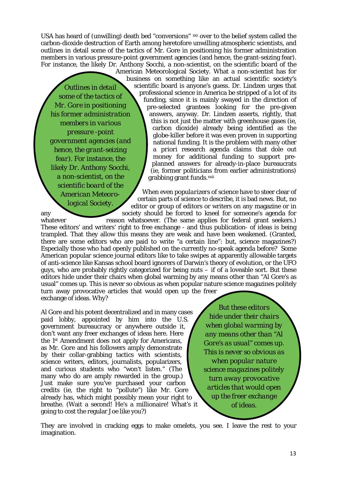USA has heard of (unwilling) death bed "conversions" [xxi](#page-16-13) over to the belief system called the carbon-dioxide destruction of Earth among heretofore unwilling atmospheric scientists, and outlines in detail some of the tactics of Mr. Gore in positioning his former administration members in various pressure-point government agencies (and hence, the grant-seizing fear). For instance, the likely Dr. Anthony Socchi, a non-scientist, on the scientific board of the

*Outlines in detail some of the tactics of Mr. Gore in positioning his former administration members in various pressure -point government agencies (and hence, the grant-seizing fear). For instance, the likely Dr. Anthony Socchi, a non-scientist, on the scientific board of the American Meteorological Society.*

American Meteorological Society. What a non-scientist has for business on something like an actual scientific society's scientific board is anyone's guess. Dr. Lindzen urges that professional science in America be stripped of a lot of its funding, since it is mainly swayed in the direction of pre-selected grantees looking for the pre-given answers, anyway. Dr. Lindzen asserts, rightly, that this is not just the matter with greenhouse gases (ie, carbon dioxide) already being identified as the globe-killer before it was even proven in supporting national funding. It is the problem with many other *a priori* research agenda claims that dole out money for additional funding to support preplanned answers for already-in-place bureaucrats (ie, former politicians from earlier administrations) grabbing grant funds.[xxii](#page-16-14)

When even *popularizers* of science have to steer clear of certain parts of science to describe, it is bad news. But, no editor or group of editors or writers on any magazine or in any society should be forced to kneel for someone's agenda for

whatever reason whatsoever. (The same applies for federal grant seekers.) These editors' and writers' right to free exchange - and thus publication- of ideas is being trampled. That they allow this means they are weak and have been weakened. (Granted, there are some editors who are paid to write "a certain line": but, *science* magazines?) Especially those who had openly published on the currently no-speak agenda before? Some American popular science journal editors like to take swipes at apparently allowable targets of anti-science like Kansas school board ignorers of Darwin's theory of evolution, or the UFO guys, who are probably rightly categorized for being nuts  $-$  if of a loveable sort. But these editors hide under their chairs when global warming by any means other than "Al Gore's as usual" comes up. This is never so obvious as when popular nature science magazines politely turn away provocative articles that would open up the freer exchange of ideas. Why?

Al Gore and his potent decentralized and in many cases paid lobby, appointed by him into the U.S. government bureaucracy or anywhere outside it, don't want any freer exchanges of ideas here. Here the 1st Amendment does not apply for Americans, as Mr. Gore and his followers amply demonstrate by their collar-grabbing tactics with scientists, science writers, editors, journalists, popularizers, and curious students who "won't listen." (The many who do are amply rewarded in the group.) Just make sure you've purchased your carbon credits (ie, the right to "pollute") like Mr. Gore already has, which might possibly mean your right to breathe. (Wait a second! He's a millionaire! What's it going to cost the regular Joe like you?)

*But these editors hide under their chairs when global warming by any means other than "Al Gore's as usual" comes up. This is never so obvious as when popular nature science magazines politely turn away provocative articles that would open up the freer exchange of ideas.*

They are involved in cracking eggs to make omelets, you see. I leave the rest to your imagination.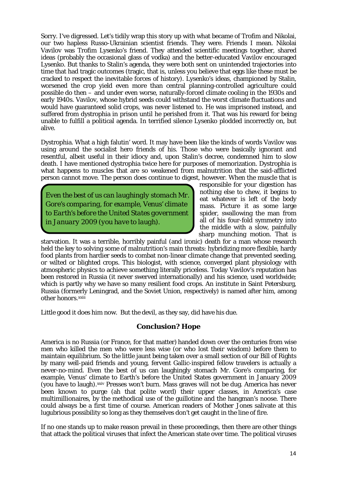Sorry. I've digressed. Let's tidily wrap this story up with what became of Trofim and Nikolai, our two hapless Russo-Ukrainian scientist friends. They were. Friends I mean. Nikolai Vavilov was Trofim Lysenko's friend. They attended scientific meetings together, shared ideas (probably the occasional glass of vodka) and the better-educated Vavilov encouraged Lysenko. But thanks to Stalin's agenda, they were both sent on unintended trajectories into time that had tragic outcomes (tragic, that is, unless you believe that eggs like these must be cracked to respect the inevitable forces of history). Lysenko's ideas, championed by Stalin, worsened the crop yield even more than central planning-controlled agriculture could possible do then – and under even worse, naturally-forced climate cooling in the 1930s and early 1940s. Vavilov, whose hybrid seeds could withstand the worst climate fluctuations and would have guaranteed solid crops, was never listened to. He was imprisoned instead, and suffered from dystrophia in prison until he perished from it. That was his reward for being unable to fulfill a political agenda. In terrified silence Lysenko plodded incorrectly on, but alive.

Dystrophia. What a high falutin' word. It may have been like the kinds of words Vavilov was using around the socialist hero friends of his. Those who were basically ignorant and resentful, albeit useful in their idiocy and, upon Stalin's decree, condemned him to slow death. I have mentioned dystrophia twice here for purposes of memorization. Dystrophia is what happens to muscles that are so weakened from malnutrition that the said-afflicted person cannot move. The person does continue to digest, however. When the muscle that is

*Even the best of us can laughingly stomach Mr. Gore's comparing, for example, Venus' climate to Earth's before the United States government in January 2009 (you have to laugh).*

responsible for your digestion has nothing else to chew, it begins to eat whatever is left of the body mass. Picture it as some large spider, swallowing the man from all of his four-fold symmetry into the middle with a slow, painfully sharp munching motion. That is

starvation. It was a terrible, horribly painful (and ironic) death for a man whose research held the key to solving some of malnutrition's main threats: hybridizing more flexible, hardy food plants from hardier seeds to combat non-linear climate change that prevented seeding, or wilted or blighted crops. This biologist, with science, converged plant physiology with atmospheric physics to achieve something literally priceless. Today Vavilov's reputation has been restored in Russia (it never swerved internationally) and his science, used worldwide; which is partly why we have so many resilient food crops. An institute in Saint Petersburg, Russia (formerly Leningrad, and the Soviet Union, respectively) is named after him, among other honors.xx[i](#page-17-0)ii

Little good it does him now. But the devil, as they say, *did* have his due.

## **Conclusion? Hope**

America is no Russia (or France, for that matter) handed down over the centuries from wise men who killed the men who were less wise (or who lost their wisdom) before them to maintain equilibrium. So the little jaunt being taken over a small section of our Bill of Rights by many well-paid friends and young, fervent Gallic-inspired fellow travelers is actually a never-no-mind. Even the best of us can laughingly stomach Mr. Gore's comparing, for example, Venus' climate to Earth's before the United States government in January 2009 (you have to laugh). xxiv Presses won't burn. Mass graves will not be dug. America has never been known to purge (ah that polite word) their upper classes, in America's case multimillionaires, by the methodical use of the guillotine and the hangman's noose. There could always be a first time of course. American readers of *Mother Jones* salivate at this lugubrious possibility so long as they themselves don't get caught in the line of fire.

If no one stands up to make reason prevail in these proceedings, then there are other things that attack the political viruses that infect the American state over time. The political viruses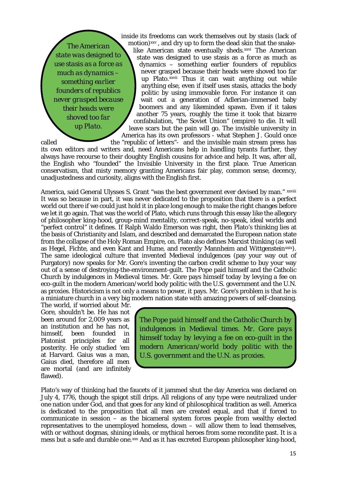*The American state was designed to use stasis as a force as much as dynamics – something earlier founders of republics never grasped because their heads were shoved too far up Plato.*

inside its freedoms can work themselves out by stasis (lack of motion) [xxv](#page-17-2) , and dry up to form the dead skin that the snakeup Plato.<sup>xxv[i](#page-17-4)i</sup> Thus it can wait anything out while like American state eventually sheds[.xxvi](#page-17-3) The American state was designed to use stasis as a *force* as much as dynamics – something earlier founders of republics never grasped because their heads were shoved too far anything else, even if itself uses stasis, attacks the body politic by using immovable force. For instance it can wait out a generation of Adlerian-immersed baby boomers and any likeminded spawn. Even if it takes another 75 years, roughly the time it took that bizarre confabulation, "the Soviet Union" (empire) to die. It will leave scars but the pain will go. The invisible university in America has its own professors - what Stephen J. Gould once called the "republic of letters"- and the invisible main stream press has

its own editors and writers and, need Americans help in handling tyrants further, they always have recourse to their doughty English cousins for advice and help. It was, after all, the English who "founded" the Invisible University in the first place. True American conservatism, that misty memory granting Americans fair play, common sense, decency, unadjustedness and curiosity, aligns with the English first.

Amer[i](#page-17-5)ca, said General Ulysses S. Grant "was the best government ever devised by man." xxviii It was so because in part, it was never dedicated to the proposition that there is a perfect world out there if we could just hold it in place long enough to make the right changes before we let it go again. That was the world of Plato, which runs through this essay like the allegory of philosopher king-hood, group-mind mentality, correct-speak, no-speak, ideal worlds and "perfect control" it defines. If Ralph Waldo Emerson was right, then Plato's thinking lies at the basis of Christianity and Islam, and described and demarcated the European nation state from the collapse of the Holy Roman Empire, on. Plato also defines Marxist thinking (as well as Hegel, Fichte, and even Kant and Hume, and recently Mannheim and Wittgenstein[xxix](#page-17-6)). The same ideological culture that invented Medieval indulgences (pay your way out of Purgatory) now speaks for Mr. Gore's inventing the carbon credit scheme to buy your way out of a sense of destroying-the-environment-guilt. The Pope paid himself and the Catholic Church by indulgences in Medieval times. Mr. Gore pays himself today by levying a fee on eco-guilt in the modern American/world body politic with the U.S. government and the U.N. as proxies. Historicism is not only a means to power, it pays. Mr. Gore's problem is that he is a miniature church in a very big modern nation state with amazing powers of self-cleansing.

The world, if worried about Mr. Gore, shouldn't be. He has not been around for 2,009 years as an institution and he has not,<br>himself, been founded in heen founded in Platonist principles for all posterity. He only studied 'em at Harvard. Gaius was a man, Gaius died, therefore all men are mortal (and are infinitely flawed).

*The Pope paid himself and the Catholic Church by indulgences in Medieval times. Mr. Gore pays himself today by levying a fee on eco-guilt in the modern American/world body politic with the U.S. government and the U.N. as proxies.*

Plato's way of thinking had the faucets of it jammed shut the day America was declared on July 4, 1776, though the spigot still drips. All religions of any type were neutralized under one nation under God, and that goes for any kind of philosophical tradition as well. America is dedicated to the proposition that all men are created equal, and that if forced to communicate in session – as the bicameral system forces people from wealthy elected representatives to the unemployed homeless, down – will allow them to lead themselves, with or without dogmas, shining ideals, or mythical heroes from some recondite past. It is a mess but a safe and durable one.<sup>[xxx](#page-17-7)</sup> And as it has excreted European philosopher king-hood,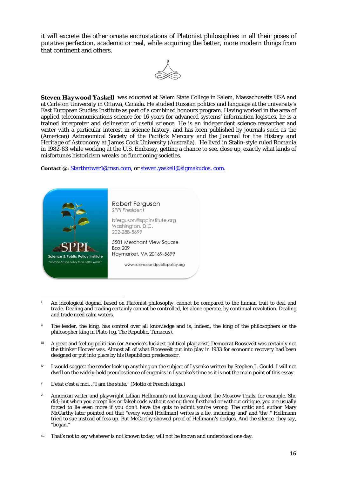it will excrete the other ornate encrustations of Platonist philosophies in all their poses of putative perfection, academic or real, while acquiring the better, more modern things from that continent and others.



*Steven Haywood Yaskell* was educated at Salem State College in Salem, Massachusetts USA and at Carleton University in Ottawa, Canada. He studied Russian politics and language at the university's East European Studies Institute as part of a combined honours program. Having worked in the area of applied telecommunications science for 16 years for advanced systems' information logistics, he is a trained interpreter and delineator of useful science. He is an independent science researcher and writer with a particular interest in science history, and has been published by journals such as the (American) Astronomical Society of the Pacific's *Mercury* and the *Journal for the History and Heritage of Astronomy* at James Cook University (Australia). He lived in Stalin-style ruled Romania in 1982-83 while working at the U.S. Embassy, getting a chance to see, close up, exactly what kinds of misfortunes historicism wreaks on functioning societies.

**Contact @:** [Starthrower1@msn.com,](mailto:Starthrower1@msn.com) o[r steven.yaskell@sigmakudos. com.](mailto:steven.yaskell@sigmakudos.com)



- <span id="page-15-0"></span>An ideological dogma, based on Platonist philosophy, cannot be compared to the human trait to deal and trade. Dealing and trading certainly cannot be controlled, let alone operate, by continual revolution. Dealing and trade need calm waters.
- <span id="page-15-1"></span>ii The leader, the king, has control over all knowledge and is, indeed, the king of the philosophers or the philosopher king in Plato (eg, *The Republic*, *Timaeus*).
- <span id="page-15-2"></span>iii A great and feeling politician (or America's luckiest political plagiarist) Democrat Roosevelt was certainly not the thinker Hoover was. Almost all of what Roosevelt put into play in 1933 for economic recovery had been designed or put into place by his Republican predecessor.
- <span id="page-15-3"></span>iv I would suggest the reader look up anything on the subject of Lysenko written by Stephen J. Gould. I will not dwell on the widely-held pseudoscience of eugenics in Lysenko's time as it is not the main point of this essay.
- <span id="page-15-4"></span><sup>v</sup> *L'etat c'est a moi*…"I am the state." (Motto of French kings.)

<u>.</u>

- <span id="page-15-5"></span>vi American writer and playwright Lillian Hellmann's not knowing about the Moscow Trials, for example. She did; but when you accept lies or falsehoods without seeing them firsthand or without critique, you are usually forced to lie even more if you don't have the guts to admit you're wrong. The critic and author Mary McCarthy later pointed out that "every word [Hellman] writes is a lie, including 'and' and 'the'." Hellmann tried to sue instead of fess up. But McCarthy showed proof of Hellmann's dodges. And the silence, they say, "began."
- <span id="page-15-6"></span>vii That's not to say whatever is not known today, will not be known and understood one day.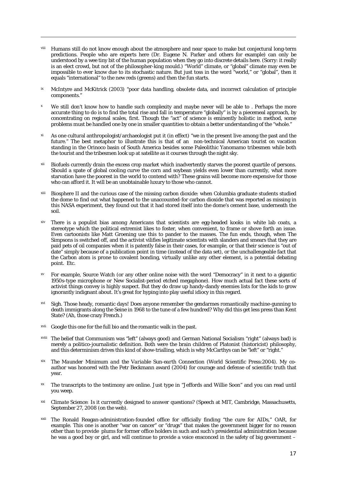<span id="page-16-0"></span>viii Humans still do not know enough about the atmosphere and near space to make but conjectural long-term predictions. People who are experts here (Dr. Eugene N. Parker and others for example) can only be understood by a wee tiny bit of the human population when they go into discrete details here. (Sorry: it really is an elect crowd, but not of the philosopher-king mould.) "World" climate, or "global" climate may even be impossible to ever know due to its stochastic nature. But just toss in the word "world," or "global", then it equals "international" to the new reds (greens) and then the fun starts.

<u>.</u>

- <span id="page-16-1"></span><sup>ix</sup> McIntyre and McKitrick (2003) "poor data handling, obsolete data, and incorrect calculation of principle components."
- <span id="page-16-2"></span>We still don't know how to handle such complexity and maybe never will be able to . Perhaps the more accurate thing to do is to find the total rise and fall in temperature "globally" is by a piecemeal approach, by concentrating on regional scales, first. Though the "act" of science is eminently holistic in method, some problems must be handled one by one in smaller quantities to obtain a better understanding of the "whole."
- <span id="page-16-3"></span>As one cultural anthropologist/archaeologist put it (in effect) "we in the present live among the past and the future." The best metaphor to illustrate this is that of an non-technical American tourist on vacation standing in the Orinoco basin of South America besides some Paleolithic Yanomamo tribesmen while both the tourist and the tribesmen look up at satellite as it courses through the night sky.
- <span id="page-16-4"></span>xii Biofuels currently drain the excess crop market which inadvertently starves the poorest quartile of persons. Should a spate of global cooling curve the corn and soybean yields even lower than currently, what more starvation have the poorest in the world to contend with? These grains will become more expensive for those who can afford it. It will be an unobtainable luxury to those who cannot.
- <span id="page-16-5"></span>xiii Biosphere II and the curious case of the missing carbon dioxide: when Columbia graduate students studied the dome to find out what happened to the unaccounted-for carbon dioxide that was reported as missing in this NASA experiment, they found out that it had stored itself into the dome's cement base, underneath the soil.
- <span id="page-16-6"></span>xiv There is a populist bias among Americans that scientists are egg-headed kooks in white lab coats, a stereotype which the political extremist likes to foster, when convenient, to frame or shove forth an issue. Even cartoonists like Matt Groening use this to pander to the masses. The fun ends, though, when *The Simpsons* is switched off, and the activist vilifies legitimate scientists with slanders and smears that they are paid pets of oil companies when it is patently false in their cases, for example, or that their science is "out of date" simply because of a publication point in time (instead of the data set), or the unchallengeable fact that the Carbon atom is prone to covalent bonding, virtually unlike any other element, is a potential debating point. Etc.
- <span id="page-16-7"></span>For example, Source Watch (or any other online noise with the word "Democracy" in it next to a gigantic 1950s-type microphone or New Socialist-period etched megaphone). How much actual fact these sorts of activist things convey is highly suspect. But they do draw up handy-dandy enemies lists for the kids to grow ignorantly indignant about. It's great for hyping into play useful idiocy in this regard.
- <span id="page-16-8"></span>xvi Sigh. Those heady, romantic days! Does anyone remember the gendarmes romantically machine-gunning to death immigrants along the Seine in 1968 to the tune of a few hundred? Why did this get less press than Kent State? (Ah, those crazy French.)
- <span id="page-16-9"></span>xvii Google this one for the full bio and the romantic walk in the past.
- <span id="page-16-10"></span>xviii The belief that Communism was "left" (always good) and German National Socialism "right" (always bad) is merely a politico-journalistic definition. Both were the brain children of Platonist (historicist) philosophy, and this determinism drives this kind of show-trialling, which is why McCarthys can be "left" or "right."
- <span id="page-16-11"></span>The Maunder Minimum and the Variable Sun-earth Connection (World Scientific Press: 2004). My coauthor was honored with the Petr Beckmann award (2004) for courage and defense of scientific truth that year.
- <span id="page-16-12"></span>xx The transcripts to the testimony are online. Just type in "Jeffords and Willie Soon" and you can read until you weep.
- <span id="page-16-13"></span>xxi *Climate Science: Is it currently designed to answer questions?* (Speech at MIT, Cambridge, Massachusetts, September 27, 2008 (on the web).
- <span id="page-16-14"></span>xxii The Ronald Reagan-administration-founded office for officially finding "the cure for AIDs," OAR, for example. This one is another "war on cancer" or "drugs" that makes the government bigger for no reason other than to provide plums for former office holders in such and such's presidential administration because he was a good boy or girl, and will continue to provide a voice ensconced in the safety of big government –